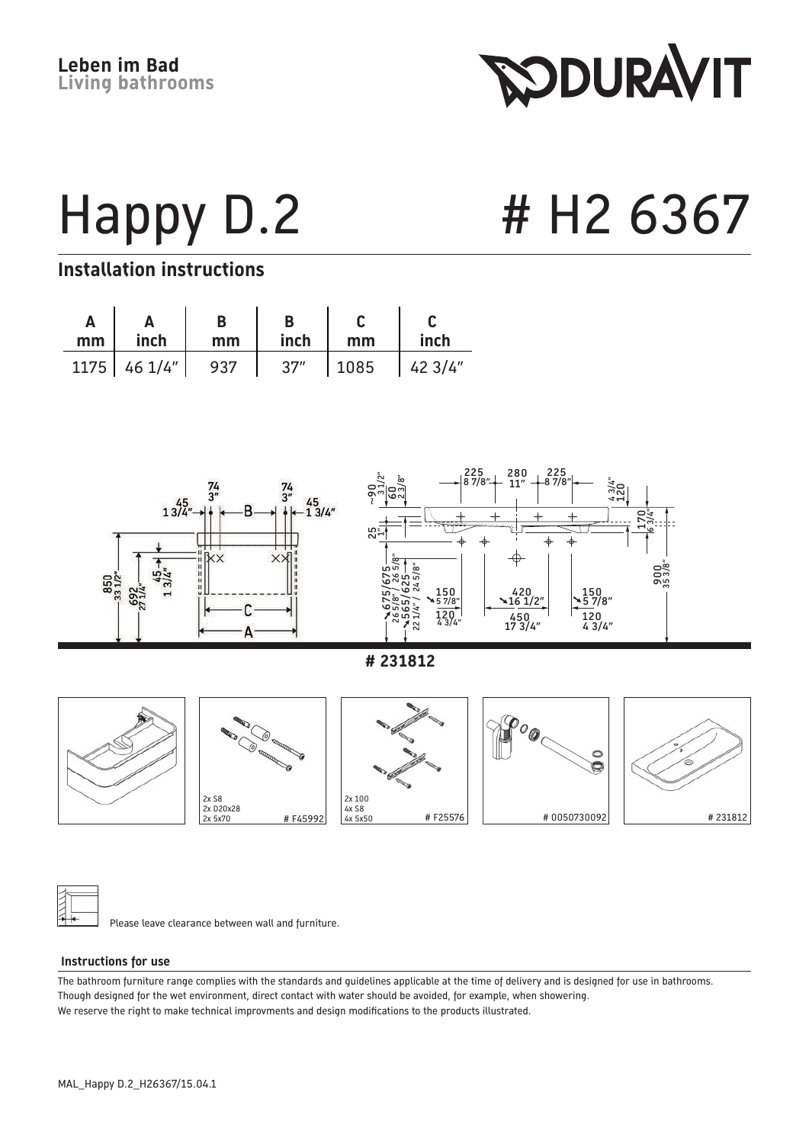**SODURAVIT** 

Happy D.2 # H2 6367

#### **Installation instructions**

| mm <sub>1</sub> | inch             | mm  | inch | mm   | inch    |
|-----------------|------------------|-----|------|------|---------|
|                 | $1175$ 46 $1/4"$ | 937 | 37'' | 1085 | 1423/4" |



Please leave clearance between wall and furniture.

#### **Instructions for use**

The bathroom furniture range complies with the standards and guidelines applicable at the time of delivery and is designed for use in bathrooms. Though designed for the wet environment, direct contact with water should be avoided, for example, when showering. We reserve the right to make technical improvments and design modifications to the products illustrated.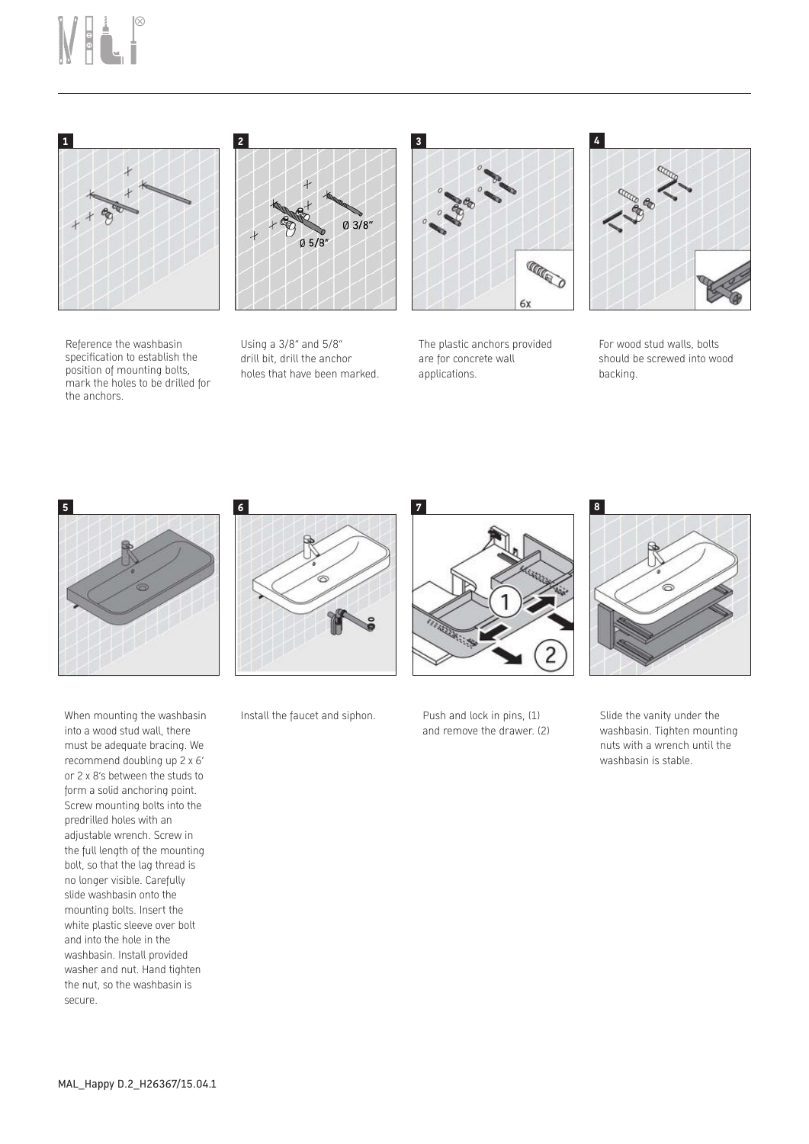# Mai.<sup>8</sup>







Using a 3/8" and 5/8" drill bit, drill the anchor holes that have been marked.



The plastic anchors provided are for concrete wall applications.



For wood stud walls, bolts should be screwed into wood backing.



When mounting the washbasin into a wood stud wall, there must be adequate bracing. We recommend doubling up 2 x 6' or 2 x 8's between the studs to form a solid anchoring point. Screw mounting bolts into the predrilled holes with an adjustable wrench. Screw in the full length of the mounting bolt, so that the lag thread is no longer visible. Carefully slide washbasin onto the mounting bolts. Insert the white plastic sleeve over bolt and into the hole in the washbasin. Install provided washer and nut. Hand tighten the nut, so the washbasin is secure.



Install the faucet and siphon. Push and lock in pins, (1)



and remove the drawer. (2)



Slide the vanity under the washbasin. Tighten mounting nuts with a wrench until the washbasin is stable.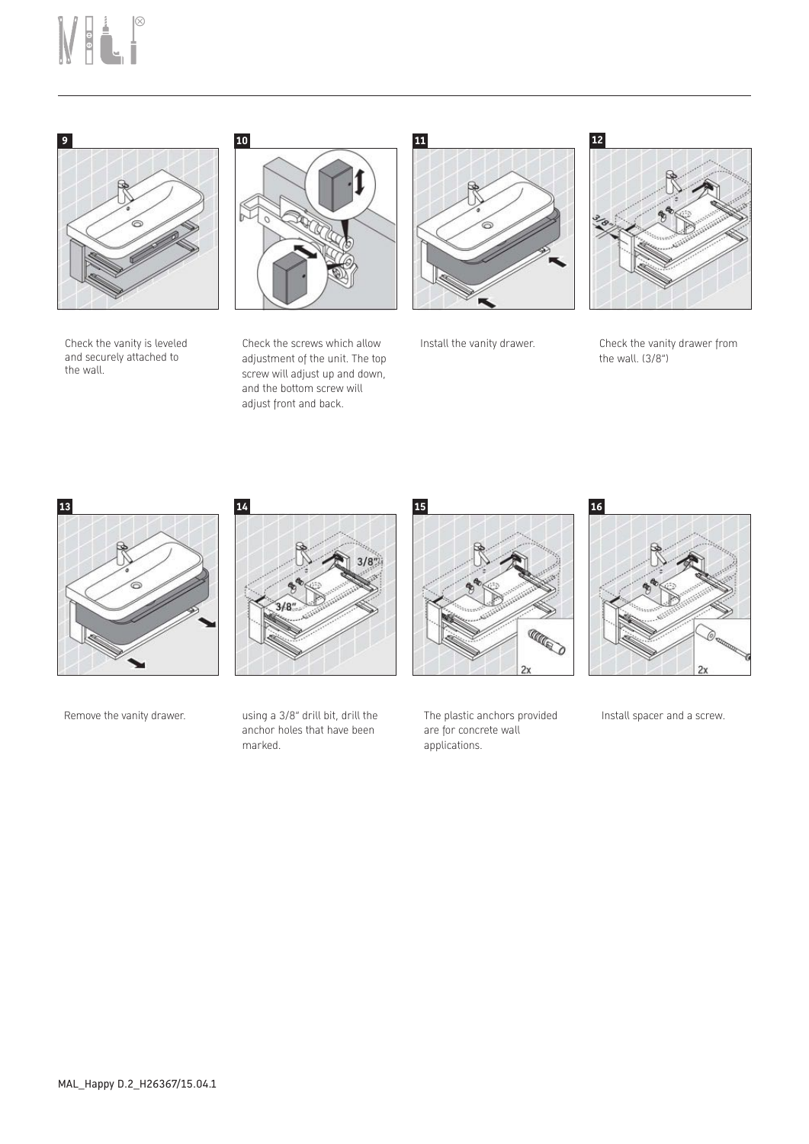## NH.



Check the vanity is leveled and securely attached to the wall.



Check the screws which allow adjustment of the unit. The top screw will adjust up and down, and the bottom screw will adjust front and back.





Install the vanity drawer. Check the vanity drawer from the wall. (3/8")





Remove the vanity drawer. using a 3/8" drill bit, drill the anchor holes that have been marked.



The plastic anchors provided are for concrete wall applications.



Install spacer and a screw.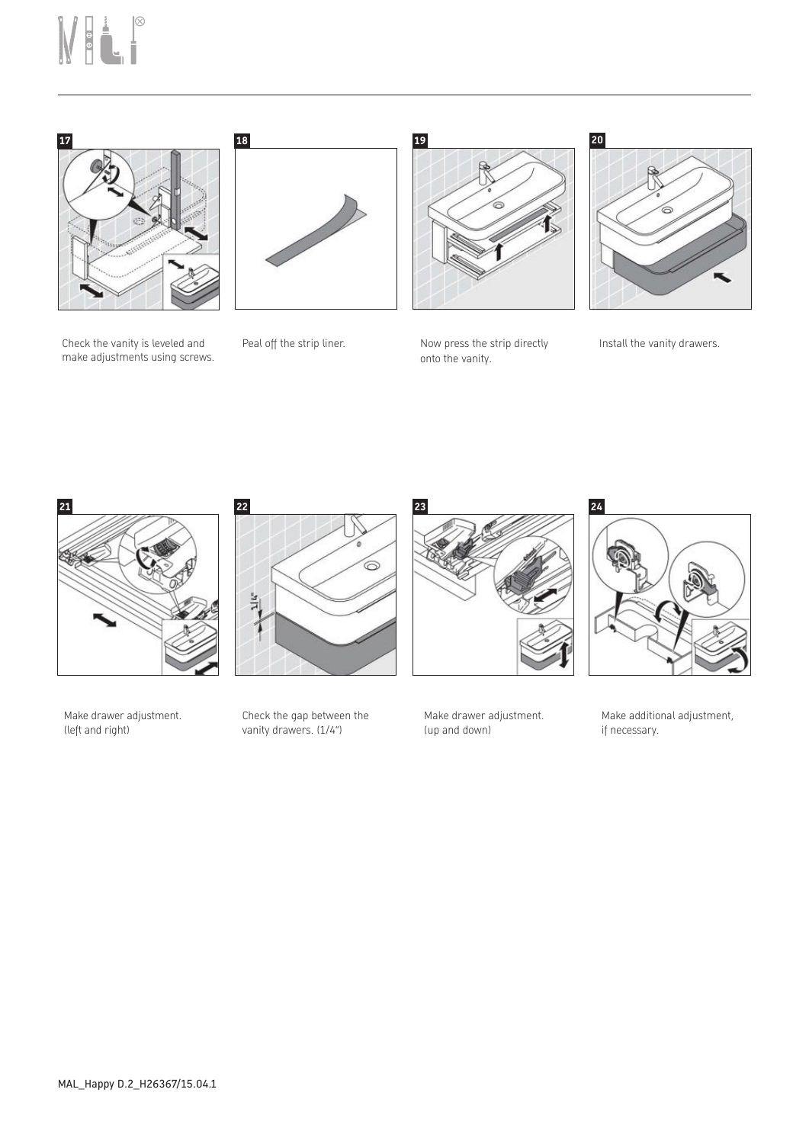# NH.





**18 19 20**

Peal off the strip liner. Now press the strip directly onto the vanity.



Install the vanity drawers.







Make additional adjustment, if necessary.



Make drawer adjustment. (left and right)

Check the gap between the vanity drawers. (1/4")

6

Make drawer adjustment. (up and down)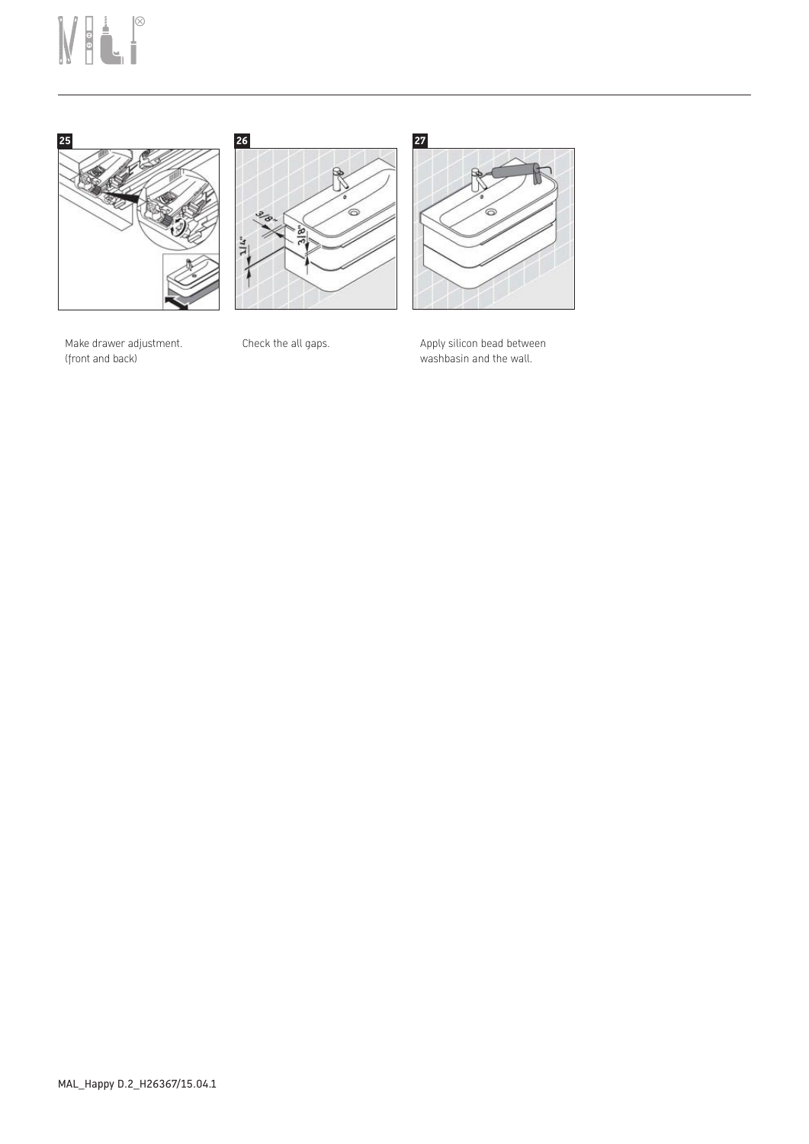### MELP







Make drawer adjustment. (front and back)

Check the all gaps.  $\qquad \qquad \qquad$  Apply silicon bead between washbasin and the wall.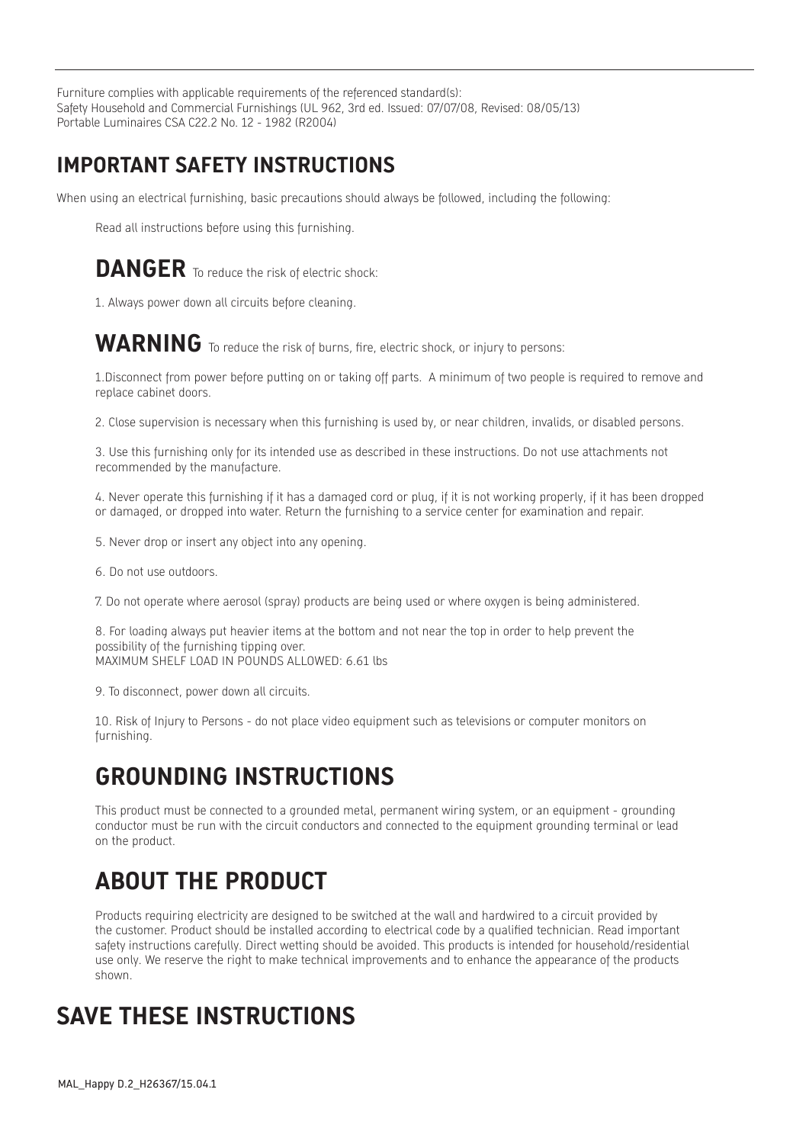Furniture complies with applicable requirements of the referenced standard(s): Safety Household and Commercial Furnishings (UL 962, 3rd ed. Issued: 07/07/08, Revised: 08/05/13) Portable Luminaires CSA C22.2 No. 12 - 1982 (R2004)

#### **IMPORTANT SAFETY INSTRUCTIONS**

When using an electrical furnishing, basic precautions should always be followed, including the following:

Read all instructions before using this furnishing.

#### **DANGER** To reduce the risk of electric shock:

1. Always power down all circuits before cleaning.

#### WARNING To reduce the risk of burns, fire, electric shock, or injury to persons:

1.Disconnect from power before putting on or taking off parts. A minimum of two people is required to remove and replace cabinet doors.

2. Close supervision is necessary when this furnishing is used by, or near children, invalids, or disabled persons.

3. Use this furnishing only for its intended use as described in these instructions. Do not use attachments not recommended by the manufacture.

4. Never operate this furnishing if it has a damaged cord or plug, if it is not working properly, if it has been dropped or damaged, or dropped into water. Return the furnishing to a service center for examination and repair.

- 5. Never drop or insert any object into any opening.
- 6. Do not use outdoors.
- 7. Do not operate where aerosol (spray) products are being used or where oxygen is being administered.

8. For loading always put heavier items at the bottom and not near the top in order to help prevent the possibility of the furnishing tipping over. MAXIMUM SHELF LOAD IN POUNDS ALLOWED: 6.61 lbs

9. To disconnect, power down all circuits.

10. Risk of Injury to Persons - do not place video equipment such as televisions or computer monitors on furnishing.

### **GROUNDING INSTRUCTIONS**

This product must be connected to a grounded metal, permanent wiring system, or an equipment - grounding conductor must be run with the circuit conductors and connected to the equipment grounding terminal or lead on the product.

### **ABOUT THE PRODUCT**

Products requiring electricity are designed to be switched at the wall and hardwired to a circuit provided by the customer. Product should be installed according to electrical code by a qualified technician. Read important safety instructions carefully. Direct wetting should be avoided. This products is intended for household/residential use only. We reserve the right to make technical improvements and to enhance the appearance of the products shown.

### **SAVE THESE INSTRUCTIONS**